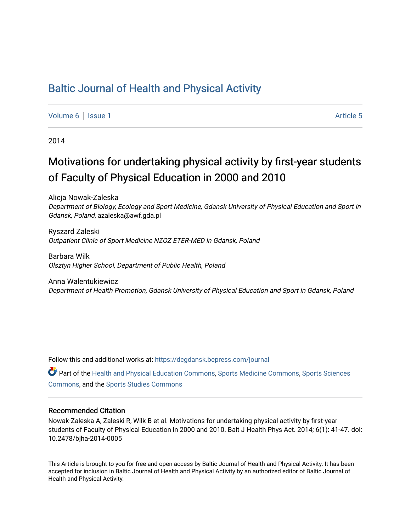# [Baltic Journal of Health and Physical Activity](https://dcgdansk.bepress.com/journal)

[Volume 6](https://dcgdansk.bepress.com/journal/vol6) | [Issue 1](https://dcgdansk.bepress.com/journal/vol6/iss1) Article 5

2014

# Motivations for undertaking physical activity by first-year students of Faculty of Physical Education in 2000 and 2010

Alicja Nowak-Zaleska Department of Biology, Ecology and Sport Medicine, Gdansk University of Physical Education and Sport in Gdansk, Poland, azaleska@awf.gda.pl

Ryszard Zaleski Outpatient Clinic of Sport Medicine NZOZ ETER-MED in Gdansk, Poland

Barbara Wilk Olsztyn Higher School, Department of Public Health, Poland

Anna Walentukiewicz Department of Health Promotion, Gdansk University of Physical Education and Sport in Gdansk, Poland

Follow this and additional works at: [https://dcgdansk.bepress.com/journal](https://dcgdansk.bepress.com/journal?utm_source=dcgdansk.bepress.com%2Fjournal%2Fvol6%2Fiss1%2F5&utm_medium=PDF&utm_campaign=PDFCoverPages)

Part of the [Health and Physical Education Commons](http://network.bepress.com/hgg/discipline/1327?utm_source=dcgdansk.bepress.com%2Fjournal%2Fvol6%2Fiss1%2F5&utm_medium=PDF&utm_campaign=PDFCoverPages), [Sports Medicine Commons,](http://network.bepress.com/hgg/discipline/1331?utm_source=dcgdansk.bepress.com%2Fjournal%2Fvol6%2Fiss1%2F5&utm_medium=PDF&utm_campaign=PDFCoverPages) [Sports Sciences](http://network.bepress.com/hgg/discipline/759?utm_source=dcgdansk.bepress.com%2Fjournal%2Fvol6%2Fiss1%2F5&utm_medium=PDF&utm_campaign=PDFCoverPages) [Commons](http://network.bepress.com/hgg/discipline/759?utm_source=dcgdansk.bepress.com%2Fjournal%2Fvol6%2Fiss1%2F5&utm_medium=PDF&utm_campaign=PDFCoverPages), and the [Sports Studies Commons](http://network.bepress.com/hgg/discipline/1198?utm_source=dcgdansk.bepress.com%2Fjournal%2Fvol6%2Fiss1%2F5&utm_medium=PDF&utm_campaign=PDFCoverPages) 

#### Recommended Citation

Nowak-Zaleska A, Zaleski R, Wilk B et al. Motivations for undertaking physical activity by first-year students of Faculty of Physical Education in 2000 and 2010. Balt J Health Phys Act. 2014; 6(1): 41-47. doi: 10.2478/bjha-2014-0005

This Article is brought to you for free and open access by Baltic Journal of Health and Physical Activity. It has been accepted for inclusion in Baltic Journal of Health and Physical Activity by an authorized editor of Baltic Journal of Health and Physical Activity.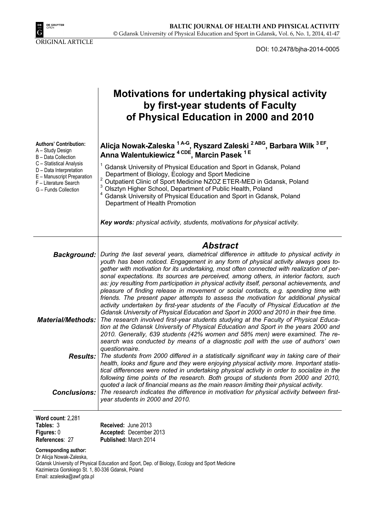

DOI: 10.2478/bjha-2014-0005

|                                                                                                                                                                                                                | <b>Motivations for undertaking physical activity</b><br>by first-year students of Faculty<br>of Physical Education in 2000 and 2010                                                                                                                                                                                                                                                                                                                                                                                                                                                                                                                                                                                                                                                                               |
|----------------------------------------------------------------------------------------------------------------------------------------------------------------------------------------------------------------|-------------------------------------------------------------------------------------------------------------------------------------------------------------------------------------------------------------------------------------------------------------------------------------------------------------------------------------------------------------------------------------------------------------------------------------------------------------------------------------------------------------------------------------------------------------------------------------------------------------------------------------------------------------------------------------------------------------------------------------------------------------------------------------------------------------------|
| <b>Authors' Contribution:</b><br>A - Study Design<br>B - Data Collection<br>C - Statistical Analysis<br>D - Data Interpretation<br>E - Manuscript Preparation<br>F - Literature Search<br>G - Funds Collection | Alicja Nowak-Zaleska <sup>1 A-G</sup> , Ryszard Zaleski <sup>2 ABG</sup> , Barbara Wilk <sup>3 EF</sup> ,<br>Anna Walentukiewicz <sup>4 CDE</sup> , Marcin Pasek <sup>1E</sup>                                                                                                                                                                                                                                                                                                                                                                                                                                                                                                                                                                                                                                    |
|                                                                                                                                                                                                                | Gdansk University of Physical Education and Sport in Gdansk, Poland<br>Department of Biology, Ecology and Sport Medicine<br>2<br>Outpatient Clinic of Sport Medicine NZOZ ETER-MED in Gdansk, Poland<br>Olsztyn Higher School, Department of Public Health, Poland<br>Gdansk University of Physical Education and Sport in Gdansk, Poland<br>Department of Health Promotion                                                                                                                                                                                                                                                                                                                                                                                                                                       |
|                                                                                                                                                                                                                | Key words: physical activity, students, motivations for physical activity.                                                                                                                                                                                                                                                                                                                                                                                                                                                                                                                                                                                                                                                                                                                                        |
| <b>Background:</b>                                                                                                                                                                                             | <b>Abstract</b><br>During the last several years, diametrical difference in attitude to physical activity in<br>youth has been noticed. Engagement in any form of physical activity always goes to-<br>gether with motivation for its undertaking, most often connected with realization of per-<br>sonal expectations. Its sources are perceived, among others, in interior factors, such                                                                                                                                                                                                                                                                                                                                                                                                                        |
| <b>Material/Methods:</b>                                                                                                                                                                                       | as: joy resulting from participation in physical activity itself, personal achievements, and<br>pleasure of finding release in movement or social contacts, e.g. spending time with<br>friends. The present paper attempts to assess the motivation for additional physical<br>activity undertaken by first-year students of the Faculty of Physical Education at the<br>Gdansk University of Physical Education and Sport in 2000 and 2010 in their free time.<br>The research involved first-year students studying at the Faculty of Physical Educa-<br>tion at the Gdansk University of Physical Education and Sport in the years 2000 and<br>2010. Generally, 639 students (42% women and 58% men) were examined. The re-<br>search was conducted by means of a diagnostic poll with the use of authors' own |
| <b>Results:</b>                                                                                                                                                                                                | The students from 2000 differed in a statistically significant way in taking care of their<br>health, looks and figure and they were enjoying physical activity more. Important statis-<br>tical differences were noted in undertaking physical activity in order to socialize in the<br>following time points of the research. Both groups of students from 2000 and 2010,<br>quoted a lack of financial means as the main reason limiting their physical activity.                                                                                                                                                                                                                                                                                                                                              |
|                                                                                                                                                                                                                | year students in 2000 and 2010.                                                                                                                                                                                                                                                                                                                                                                                                                                                                                                                                                                                                                                                                                                                                                                                   |
| <b>Conclusions:</b><br>Word count: 2,281<br>$T$ ahlaa $\overline{2}$                                                                                                                                           | questionnaire.<br>The research indicates the difference in motivation for physical activity between first-<br>Desained: June 2012                                                                                                                                                                                                                                                                                                                                                                                                                                                                                                                                                                                                                                                                                 |

**Tables:** 3 **Figures:** 0 **References**: 27 **Received:** June 2013 **Accepted:** December 2013 **Published:** March 2014

**Corresponding author:**  Dr Alicja Nowak-Zaleska, Gdansk University of Physical Education and Sport, Dep. of Biology, Ecology and Sport Medicine

Kazimierza Gorskiego St. 1, 80-336 Gdansk, Poland

Email: azaleska@awf.gda.pl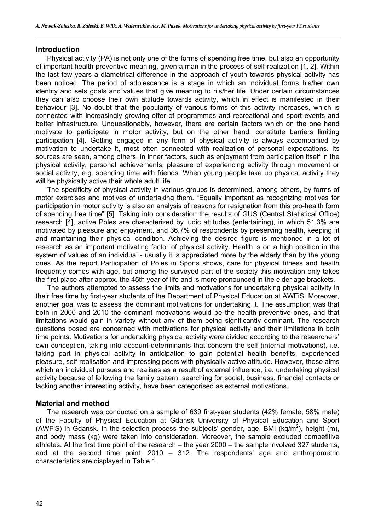#### **Introduction**

Physical activity (PA) is not only one of the forms of spending free time, but also an opportunity of important health-preventive meaning, given a man in the process of self-realization [1, 2]. Within the last few years a diametrical difference in the approach of youth towards physical activity has been noticed. The period of adolescence is a stage in which an individual forms his/her own identity and sets goals and values that give meaning to his/her life. Under certain circumstances they can also choose their own attitude towards activity, which in effect is manifested in their behaviour [3]. No doubt that the popularity of various forms of this activity increases, which is connected with increasingly growing offer of programmes and recreational and sport events and better infrastructure. Unquestionably, however, there are certain factors which on the one hand motivate to participate in motor activity, but on the other hand, constitute barriers limiting participation [4]. Getting engaged in any form of physical activity is always accompanied by motivation to undertake it, most often connected with realization of personal expectations. Its sources are seen, among others, in inner factors, such as enjoyment from participation itself in the physical activity, personal achievements, pleasure of experiencing activity through movement or social activity, e.g. spending time with friends. When young people take up physical activity they will be physically active their whole adult life.

The specificity of physical activity in various groups is determined, among others, by forms of motor exercises and motives of undertaking them. "Equally important as recognizing motives for participation in motor activity is also an analysis of reasons for resignation from this pro-health form of spending free time" [5]. Taking into consideration the results of GUS (Central Statistical Office) research [4], active Poles are characterized by ludic attitudes (entertaining), in which 51.3% are motivated by pleasure and enjoyment, and 36.7% of respondents by preserving health, keeping fit and maintaining their physical condition. Achieving the desired figure is mentioned in a lot of research as an important motivating factor of physical activity. Health is on a high position in the system of values of an individual - usually it is appreciated more by the elderly than by the young ones. As the report Participation of Poles in Sports shows, care for physical fitness and health frequently comes with age, but among the surveyed part of the society this motivation only takes the first place after approx. the 45th year of life and is more pronounced in the elder age brackets.

The authors attempted to assess the limits and motivations for undertaking physical activity in their free time by first-year students of the Department of Physical Education at AWFiS. Moreover, another goal was to assess the dominant motivations for undertaking it. The assumption was that both in 2000 and 2010 the dominant motivations would be the health-preventive ones, and that limitations would gain in variety without any of them being significantly dominant. The research questions posed are concerned with motivations for physical activity and their limitations in both time points. Motivations for undertaking physical activity were divided according to the researchers' own conception, taking into account determinants that concern the self (internal motivations), i.e. taking part in physical activity in anticipation to gain potential health benefits, experienced pleasure, self-realisation and impressing peers with physically active attitude. However, those aims which an individual pursues and realises as a result of external influence, i.e. undertaking physical activity because of following the family pattern, searching for social, business, financial contacts or lacking another interesting activity, have been categorised as external motivations.

#### **Material and method**

The research was conducted on a sample of 639 first-year students (42% female, 58% male) of the Faculty of Physical Education at Gdansk University of Physical Education and Sport (AWFIS) in Gdansk. In the selection process the subjects' gender, age, BMI (kg/m<sup>2</sup>), height (m), and body mass (kg) were taken into consideration. Moreover, the sample excluded competitive athletes. At the first time point of the research – the year 2000 – the sample involved 327 students, and at the second time point: 2010 – 312. The respondents' age and anthropometric characteristics are displayed in Table 1.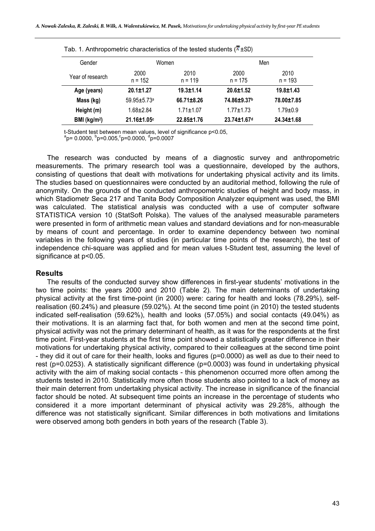| Tab. T. Anthropometric characteristics of the tested students (* ±3D) |                                        |                 |                         |                   |  |  |  |
|-----------------------------------------------------------------------|----------------------------------------|-----------------|-------------------------|-------------------|--|--|--|
| Gender                                                                | Women                                  |                 |                         | Men               |  |  |  |
| Year of research                                                      | 2000<br>2010<br>$n = 119$<br>$n = 152$ |                 | 2000<br>$n = 175$       | 2010<br>$n = 193$ |  |  |  |
| Age (years)                                                           | $20.1 \pm 1.27$                        | $19.3 \pm 1.14$ | $20.6 \pm 1.52$         | $19.8 \pm 1.43$   |  |  |  |
| Mass (kg)                                                             | $59.95 + 5.73a$                        | 66.71±8.26      | 74.86±9.37b             | 78.00±7.85        |  |  |  |
| Height (m)                                                            | $1.68 \pm 2.84$                        | $1.71 \pm 1.07$ | $1.77 + 1.73$           | $1.79 \pm 0.9$    |  |  |  |
| BMI ( $kg/m2$ )                                                       | 21.16±1.05c                            | 22.85±1.76      | 23.74±1.67 <sup>d</sup> | 24.34±1.68        |  |  |  |

Tab. 1. Anthropometric characteristics of the tested students  $(\overline{r}, \overline{S})$ 

t-Student test between mean values, level of significance p<0.05,

p= 0.0000, <sup>b</sup>p=0.005,<sup>c</sup>p=0.0000, <sup>d</sup>p=0.0007

The research was conducted by means of a diagnostic survey and anthropometric measurements. The primary research tool was a questionnaire, developed by the authors, consisting of questions that dealt with motivations for undertaking physical activity and its limits. The studies based on questionnaires were conducted by an auditorial method, following the rule of anonymity. On the grounds of the conducted anthropometric studies of height and body mass, in which Stadiometr Seca 217 and Tanita Body Composition Analyzer equipment was used, the BMI was calculated. The statistical analysis was conducted with a use of computer software STATISTICA version 10 (StatSoft Polska). The values of the analysed measurable parameters were presented in form of arithmetic mean values and standard deviations and for non-measurable by means of count and percentage. In order to examine dependency between two nominal variables in the following years of studies (in particular time points of the research), the test of independence chi-square was applied and for mean values t-Student test, assuming the level of significance at p<0.05.

## **Results**

The results of the conducted survey show differences in first-year students' motivations in the two time points: the years 2000 and 2010 (Table 2). The main determinants of undertaking physical activity at the first time-point (in 2000) were: caring for health and looks (78.29%), selfrealisation (60.24%) and pleasure (59.02%). At the second time point (in 2010) the tested students indicated self-realisation (59.62%), health and looks (57.05%) and social contacts (49.04%) as their motivations. It is an alarming fact that, for both women and men at the second time point, physical activity was not the primary determinant of health, as it was for the respondents at the first time point. First-year students at the first time point showed a statistically greater difference in their motivations for undertaking physical activity, compared to their colleagues at the second time point - they did it out of care for their health, looks and figures (p=0.0000) as well as due to their need to rest (p=0.0253). A statistically significant difference (p=0.0003) was found in undertaking physical activity with the aim of making social contacts - this phenomenon occurred more often among the students tested in 2010. Statistically more often those students also pointed to a lack of money as their main deterrent from undertaking physical activity. The increase in significance of the financial factor should be noted. At subsequent time points an increase in the percentage of students who considered it a more important determinant of physical activity was 29.28%, although the difference was not statistically significant. Similar differences in both motivations and limitations were observed among both genders in both years of the research (Table 3).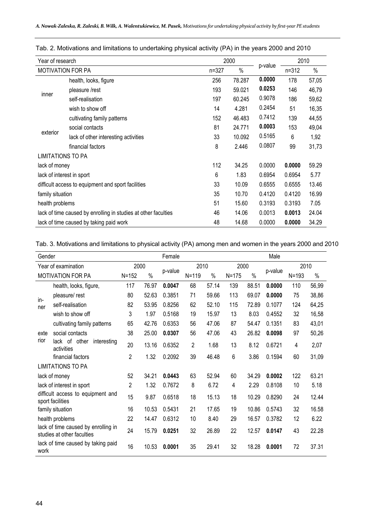| Year of research          |                                                                |           | 2000   |         | 2010      |       |
|---------------------------|----------------------------------------------------------------|-----------|--------|---------|-----------|-------|
| <b>MOTIVATION FOR PA</b>  |                                                                | $n = 327$ | $\%$   | p-value | $n = 312$ | $\%$  |
|                           | health, looks, figure                                          | 256       | 78.287 | 0.0000  | 178       | 57,05 |
|                           | pleasure /rest                                                 | 193       | 59.021 | 0.0253  | 146       | 46,79 |
| inner                     | self-realisation                                               | 197       | 60.245 | 0.9078  | 186       | 59,62 |
|                           | wish to show off                                               | 14        | 4.281  | 0.2454  | 51        | 16,35 |
|                           | cultivating family patterns                                    | 152       | 46.483 | 0.7412  | 139       | 44,55 |
|                           | social contacts                                                | 81        | 24.771 | 0.0003  | 153       | 49,04 |
| exterior                  | lack of other interesting activities                           | 33        | 10.092 | 0.5165  | 6         | 1,92  |
|                           | financial factors                                              | 8         | 2.446  | 0.0807  | 99        | 31,73 |
| <b>LIMITATIONS TO PA</b>  |                                                                |           |        |         |           |       |
| lack of money             |                                                                | 112       | 34.25  | 0.0000  | 0.0000    | 59.29 |
| lack of interest in sport |                                                                | 6         | 1.83   | 0.6954  | 0.6954    | 5.77  |
|                           | difficult access to equipment and sport facilities             | 33        | 10.09  | 0.6555  | 0.6555    | 13.46 |
| family situation          |                                                                | 35        | 10.70  | 0.4120  | 0.4120    | 16.99 |
| health problems           |                                                                | 51        | 15.60  | 0.3193  | 0.3193    | 7.05  |
|                           | lack of time caused by enrolling in studies at other faculties | 46        | 14.06  | 0.0013  | 0.0013    | 24.04 |
|                           | lack of time caused by taking paid work                        | 48        | 14.68  | 0.0000  | 0.0000    | 34.29 |

Tab. 2. Motivations and limitations to undertaking physical activity (PA) in the years 2000 and 2010

Tab. 3. Motivations and limitations to physical activity (PA) among men and women in the years 2000 and 2010

| Gender                                                            |                                            | Female    |               |         | Male           |               |           |               |         |           |       |
|-------------------------------------------------------------------|--------------------------------------------|-----------|---------------|---------|----------------|---------------|-----------|---------------|---------|-----------|-------|
| Year of examination                                               |                                            | 2000      |               |         | 2010           |               | 2000      |               |         | 2010      |       |
| <b>MOTIVATION FOR PA</b>                                          |                                            | $N = 152$ | $\frac{0}{0}$ | p-value | $N = 119$      | $\frac{0}{0}$ | $N = 175$ | $\frac{0}{0}$ | p-value | $N = 193$ | $\%$  |
|                                                                   | health, looks, figure,                     | 117       | 76.97         | 0.0047  | 68             | 57.14         | 139       | 88.51         | 0.0000  | 110       | 56,99 |
| in-<br>ner                                                        | pleasure/rest                              | 80        | 52.63         | 0.3851  | 71             | 59.66         | 113       | 69.07         | 0.0000  | 75        | 38,86 |
|                                                                   | self-realisation                           | 82        | 53.95         | 0.8256  | 62             | 52.10         | 115       | 72.89         | 0.1077  | 124       | 64,25 |
|                                                                   | wish to show off                           | 3         | 1.97          | 0.5168  | 19             | 15.97         | 13        | 8.03          | 0.4552  | 32        | 16,58 |
|                                                                   | cultivating family patterns                | 65        | 42.76         | 0.6353  | 56             | 47.06         | 87        | 54.47         | 0.1351  | 83        | 43,01 |
| exte                                                              | social contacts                            | 38        | 25.00         | 0.0307  | 56             | 47.06         | 43        | 26.82         | 0.0098  | 97        | 50,26 |
| rior                                                              | lack of other<br>interesting<br>activities | 20        | 13.16         | 0.6352  | $\overline{2}$ | 1.68          | 13        | 8.12          | 0.6721  | 4         | 2,07  |
|                                                                   | financial factors                          | 2         | 1.32          | 0.2092  | 39             | 46.48         | 6         | 3.86          | 0.1594  | 60        | 31,09 |
| <b>LIMITATIONS TO PA</b>                                          |                                            |           |               |         |                |               |           |               |         |           |       |
| lack of money                                                     |                                            | 52        | 34.21         | 0.0443  | 63             | 52.94         | 60        | 34.29         | 0.0002  | 122       | 63.21 |
| lack of interest in sport                                         |                                            | 2         | 1.32          | 0.7672  | 8              | 6.72          | 4         | 2.29          | 0.8108  | 10        | 5.18  |
| difficult access to equipment and<br>sport facilities             |                                            | 15        | 9.87          | 0.6518  | 18             | 15.13         | 18        | 10.29         | 0.8290  | 24        | 12.44 |
| family situation                                                  |                                            | 16        | 10.53         | 0.5431  | 21             | 17.65         | 19        | 10.86         | 0.5743  | 32        | 16.58 |
| health problems                                                   |                                            | 22        | 14.47         | 0.6312  | 10             | 8.40          | 29        | 16.57         | 0.3782  | 12        | 6.22  |
| lack of time caused by enrolling in<br>studies at other faculties |                                            | 24        | 15.79         | 0.0251  | 32             | 26.89         | 22        | 12.57         | 0.0147  | 43        | 22.28 |
| lack of time caused by taking paid<br>work                        |                                            | 16        | 10.53         | 0.0001  | 35             | 29.41         | 32        | 18.28         | 0.0001  | 72        | 37.31 |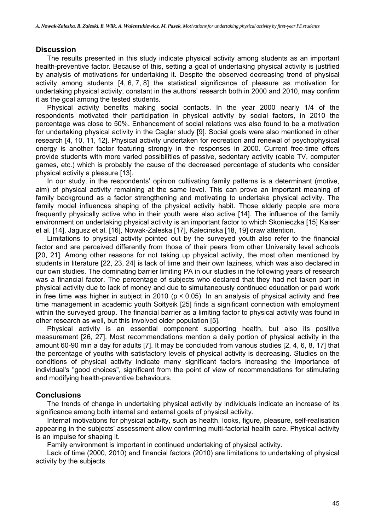## **Discussion**

The results presented in this study indicate physical activity among students as an important health-preventive factor. Because of this, setting a goal of undertaking physical activity is justified by analysis of motivations for undertaking it. Despite the observed decreasing trend of physical activity among students [4, 6, 7, 8] the statistical significance of pleasure as motivation for undertaking physical activity, constant in the authors' research both in 2000 and 2010, may confirm it as the goal among the tested students.

Physical activity benefits making social contacts. In the year 2000 nearly 1/4 of the respondents motivated their participation in physical activity by social factors, in 2010 the percentage was close to 50%. Enhancement of social relations was also found to be a motivation for undertaking physical activity in the Caglar study [9]. Social goals were also mentioned in other research [4, 10, 11, 12]. Physical activity undertaken for recreation and renewal of psychophysical energy is another factor featuring strongly in the responses in 2000. Current free-time offers provide students with more varied possibilities of passive, sedentary activity (cable TV, computer games, etc.) which is probably the cause of the decreased percentage of students who consider physical activity a pleasure [13].

In our study, in the respondents' opinion cultivating family patterns is a determinant (motive, aim) of physical activity remaining at the same level. This can prove an important meaning of family background as a factor strengthening and motivating to undertake physical activity. The family model influences shaping of the physical activity habit. Those elderly people are more frequently physically active who in their youth were also active [14]. The influence of the family environment on undertaking physical activity is an important factor to which Skonieczka [15] Kaiser et al. [14], Jagusz et al. [16], Nowak-Zaleska [17], Kalecinska [18, 19] draw attention.

Limitations to physical activity pointed out by the surveyed youth also refer to the financial factor and are perceived differently from those of their peers from other University level schools [20, 21]. Among other reasons for not taking up physical activity, the most often mentioned by students in literature [22, 23, 24] is lack of time and their own laziness, which was also declared in our own studies. The dominating barrier limiting PA in our studies in the following years of research was a financial factor. The percentage of subjects who declared that they had not taken part in physical activity due to lack of money and due to simultaneously continued education or paid work in free time was higher in subject in 2010 ( $p < 0.05$ ). In an analysis of physical activity and free time management in academic youth Sołtysik [25] finds a significant connection with employment within the surveyed group. The financial barrier as a limiting factor to physical activity was found in other research as well, but this involved older population [5].

Physical activity is an essential component supporting health, but also its positive measurement [26, 27]. Most recommendations mention a daily portion of physical activity in the amount 60-90 min a day for adults [7]. It may be concluded from various studies [2, 4, 6, 8, 17] that the percentage of youths with satisfactory levels of physical activity is decreasing. Studies on the conditions of physical activity indicate many significant factors increasing the importance of individual's "good choices", significant from the point of view of recommendations for stimulating and modifying health-preventive behaviours.

# **Conclusions**

The trends of change in undertaking physical activity by individuals indicate an increase of its significance among both internal and external goals of physical activity.

Internal motivations for physical activity, such as health, looks, figure, pleasure, self-realisation appearing in the subjects' assessment allow confirming multi-factorial health care. Physical activity is an impulse for shaping it.

Family environment is important in continued undertaking of physical activity.

Lack of time (2000, 2010) and financial factors (2010) are limitations to undertaking of physical activity by the subjects.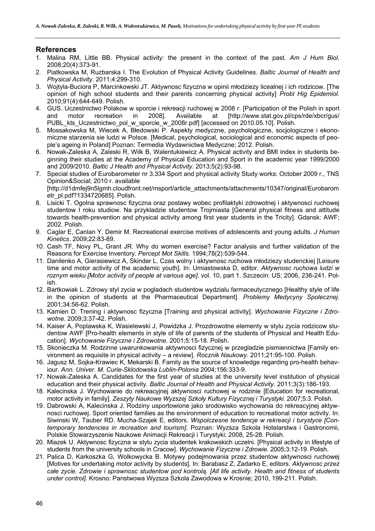# **References**

- 1. Malina RM, Little BB. Physical activity: the present in the context of the past. *Am J Hum Biol.* 2008;20(4):373-91.
- 2. Piatkowska M, Ruzbarska I. The Evolution of Physical Activity Guidelines. *Baltic Journal of Health and Physical Activity*. 2011;4:299-310.
- 3. Wojtyla-Buciora P, Marcinkowski JT. Aktywnosc fizyczna w opinii młodziezy licealnej i ich rodzicow. [The opinion of high school students and their parents concerning physical activity] *Probl Hig Epidemiol*. 2010;91(4):644-649. Polish.
- 4. GUS. Uczestnictwo Polakow w sporcie i rekreacji ruchowej w 2008 r. [Participation of the Polish in sport and motor recreation in 2008]. Available at [http://www.stat.gov.pl/cps/rde/xbcr/gus/ PUBL\_kts\_Uczestnictwo\_pol\_w\_sporcie\_w\_2008r.pdf] [accessed on 2010.05.10]. Polish.
- 5. Mossakowska M, Wiecek A, Błedowski P. Aspekty medyczne, psychologiczne, socjologiczne i ekonomiczne starzenia sie ludzi w Polsce. [Medical, psychological, sociological and economic aspects of people's ageing in Poland] Poznan: Termedia Wydawnictwa Medyczne; 2012. Polish.
- 6. Nowak-Zaleska A, Zaleski R, Wilk B, Walentukiewicz A. Physical activity and BMI index in students beginning their studies at the Academy of Physical Education and Sport in the academic year 1999/2000 and 2009/2010. *Baltic J Health and Physical Activity.* 2013;5(2):93-98.
- 7. Special studies of Eurobarometer nr 3.334 Sport and physical activity Study works: October 2009 r., TNS Opinion&Social; 2010 r. available [http://d1dmfej9n5lgmh.cloudfront.net/msport/article\_attachments/attachments/10347/original/Eurobarom etr\_pl.pdf?1334720685]. Polish.
- 8. Lisicki T. Ogolna sprawnosc fizyczna oraz postawy wobec profilaktyki zdrowotnej i aktywnosci ruchowej studentow I roku studiow. Na przykladzie studentow Trojmiasta [General physical fitness and attitude towards health-prevention and physical activity among first year students in the Tricity]. Gdansk: AWF; 2002. Polish.
- 9. Caglar E, Canlan Y, Demir M. Recreational exercise motives of adolescents and young adults. *J Human Kinetics*. 2009;22:83-89.
- 10. Cash TF, Novy PL, Grant JR. Why do women exercise? Factor analysis and further validation of the Reasons for Exercise Inventory. *Percept Mot Skills*. 1994;78(2):539-544.
- 11. Danilenko A, Gierasiewicz A, Skinder L. Czas wolny i aktywnosc ruchowa młodziezy studenckiej [Leisure time and motor activity of the academic youth]. In: Umiastowska D, editor. *Aktywnosc ruchowa ludzi w roznym wieku [Motor activity of people at various age]*. vol. 10, part 1. Szczecin: US; 2006, 236-241. Polish.
- 12. Bartkowiak L. Zdrowy styl zycia w pogladach studentow wydzialu farmaceutycznego [Healthy style of life in the opinion of students at the Pharmaceutical Department]. *Problemy Medycyny Spolecznej.* 2001;34:56-62. Polish.
- 13. Kamien D. Trening i aktywnosc fizyczna [Training and physical activity]. *Wychowanie Fizyczne i Zdrowotne*. 2009;3:37-42. Polish.
- 14. Kaiser A, Poplawska K, Wasielewski J, Powidzka J. Prozdrowotne elementy w stylu zycia rodzicow studentow AWF [Pro-health elements in style of life of parents of the students of Physical and Health Education]. *Wychowanie Fizyczne i Zdrowotne*. 2001;5:15-18. Polish.
- 15. Skonieczka M. Rodzinne uwarunkowania aktywnosci fizycznej w przegladzie pismiennictwa [Family environment as requisite in physical activity – a review]. *Rocznik Naukowy.* 2011;21:95-100. Polish.
- 16. Jagusz M, Sojka-Krawiec K, Mekarski B. Family as the source of knowledge regarding pro-health behaviour. *Ann. Univer. M. Curie-Sklodowska Lublin-Polonia* 2004;156:333-9.
- 17. Nowak-Zaleska A. Candidates for the first year of studies at the university level institution of physical education and their physical activity. *Baltic Journal of Health and Physical Activity.* 2011;3(3):186-193.
- 18. Kalecinska J. Wychowanie do rekreacyjnej aktywnosci ruchowej w rodzinie [Education for recreational, motor activity in family]. *Zeszyty Naukowe Wyzszej Szkoły Kultury Fizycznej i Turystyki*. 2007;5:3. Polish.
- 19. Dabrowski A, Kalecinska J. Rodziny usportowione jako srodowisko wychowania do rekreacyjnej aktywnosci ruchowej. Sport oriented families as the environment of education to recreational motor activity. In: Siwinski W, Tauber RD. Mucha-Szajek E, editors. *Wspolczesne tendencje w rekreacji i turystyce [Contemporary tendencies in recreation and tourism].* Poznan: Wyzsza Szkola Hotelarstwa i Gastronomii, Polskie Stowarzyszenie Naukowe Animacji Rekreacji i Turystyki; 2008, 25-28. Polish.
- 20. Miazek U. Aktywnosc fizyczna w stylu zycia studentek krakowskich uczelni. [Physical activity in lifestyle of students from the university schools in Cracow]. *Wychowanie Fizyczne i Zdrowie.* 2005;3:12-19. Polish.
- 21. Palica D, Karkoszka G, Wolkowycka B. Motywy podejmowania przez studentow aktywnosci ruchowej [Motives for undertaking motor activity by students]. In: Barabasz Z, Zadarko E, editors. *Aktywnosc przez całe zycie. Zdrowie i sprawnosc studentow pod kontrolą. [All life activity. Health and fitness of students under control]*. Krosno: Panstwowa Wyzsza Szkola Zawodowa w Krosnie; 2010, 199-211. Polish.